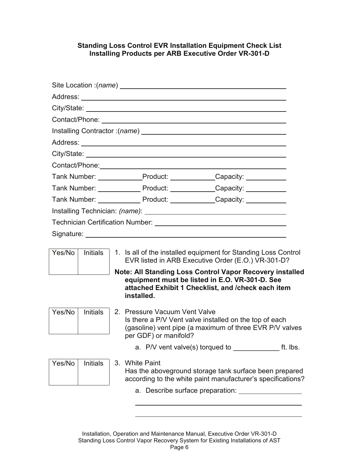## **Standing Loss Control EVR Installation Equipment Check List Installing Products per ARB Executive Order VR-301-D**

|                                                                                                                                                                                                                                |                 |  | Site Location :(name)                                                                                                                                                                 |  |  |  |  |
|--------------------------------------------------------------------------------------------------------------------------------------------------------------------------------------------------------------------------------|-----------------|--|---------------------------------------------------------------------------------------------------------------------------------------------------------------------------------------|--|--|--|--|
|                                                                                                                                                                                                                                |                 |  |                                                                                                                                                                                       |  |  |  |  |
|                                                                                                                                                                                                                                |                 |  |                                                                                                                                                                                       |  |  |  |  |
|                                                                                                                                                                                                                                |                 |  |                                                                                                                                                                                       |  |  |  |  |
|                                                                                                                                                                                                                                |                 |  |                                                                                                                                                                                       |  |  |  |  |
|                                                                                                                                                                                                                                |                 |  |                                                                                                                                                                                       |  |  |  |  |
|                                                                                                                                                                                                                                |                 |  |                                                                                                                                                                                       |  |  |  |  |
|                                                                                                                                                                                                                                |                 |  |                                                                                                                                                                                       |  |  |  |  |
|                                                                                                                                                                                                                                |                 |  | Tank Number: Product: Capacity: Capacity:                                                                                                                                             |  |  |  |  |
|                                                                                                                                                                                                                                |                 |  | Tank Number: Product: Capacity: Capacity:                                                                                                                                             |  |  |  |  |
|                                                                                                                                                                                                                                |                 |  | Tank Number: Product: Capacity: Capacity:                                                                                                                                             |  |  |  |  |
| Installing Technician: (name): Manual Communication of the Communication of the Communication of the Communication of the Communication of the Communication of the Communication of the Communication of the Communication of |                 |  |                                                                                                                                                                                       |  |  |  |  |
|                                                                                                                                                                                                                                |                 |  |                                                                                                                                                                                       |  |  |  |  |
|                                                                                                                                                                                                                                |                 |  |                                                                                                                                                                                       |  |  |  |  |
| Yes/No                                                                                                                                                                                                                         | <b>Initials</b> |  | 1. Is all of the installed equipment for Standing Loss Control<br>EVR listed in ARB Executive Order (E.O.) VR-301-D?                                                                  |  |  |  |  |
|                                                                                                                                                                                                                                |                 |  | <b>Note: All Standing Loss Control Vapor Recovery installed</b><br>equipment must be listed in E.O. VR-301-D. See<br>attached Exhibit 1 Checklist, and /check each item<br>installed. |  |  |  |  |
| Yes/No                                                                                                                                                                                                                         | <b>Initials</b> |  | 2. Pressure Vacuum Vent Valve<br>Is there a P/V Vent valve installed on the top of each<br>(gasoline) vent pipe (a maximum of three EVR P/V valves<br>per GDF) or manifold?           |  |  |  |  |
|                                                                                                                                                                                                                                |                 |  | a. $P/V$ vent valve(s) torqued to $\frac{1}{2}$ ft. lbs.                                                                                                                              |  |  |  |  |
| Yes/No                                                                                                                                                                                                                         | <b>Initials</b> |  | 3. White Paint<br>Has the aboveground storage tank surface been prepared<br>according to the white paint manufacturer's specifications?                                               |  |  |  |  |
|                                                                                                                                                                                                                                |                 |  |                                                                                                                                                                                       |  |  |  |  |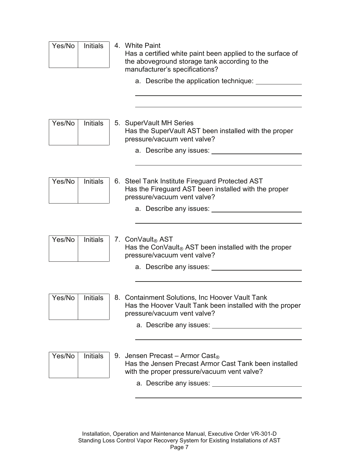| Yes/No | <b>Initials</b> |    | 4. White Paint<br>Has a certified white paint been applied to the surface of<br>the aboveground storage tank according to the<br>manufacturer's specifications?<br>a. Describe the application technique: ______                                                                                                                                                                      |
|--------|-----------------|----|---------------------------------------------------------------------------------------------------------------------------------------------------------------------------------------------------------------------------------------------------------------------------------------------------------------------------------------------------------------------------------------|
| Yes/No | <b>Initials</b> |    | 5. SuperVault MH Series<br>Has the SuperVault AST been installed with the proper<br>pressure/vacuum vent valve?                                                                                                                                                                                                                                                                       |
|        |                 |    | a. Describe any issues:                                                                                                                                                                                                                                                                                                                                                               |
| Yes/No | <b>Initials</b> |    | 6. Steel Tank Institute Fireguard Protected AST<br>Has the Fireguard AST been installed with the proper<br>pressure/vacuum vent valve?<br>a. Describe any issues:                                                                                                                                                                                                                     |
| Yes/No | <b>Initials</b> |    | 7. ConVault <sub>®</sub> AST<br>Has the ConVault® AST been installed with the proper<br>pressure/vacuum vent valve?<br>a. Describe any issues:                                                                                                                                                                                                                                        |
|        |                 |    |                                                                                                                                                                                                                                                                                                                                                                                       |
| Yes/No | Initials        | 8. | <b>Containment Solutions, Inc Hoover Vault Tank</b><br>Has the Hoover Vault Tank been installed with the proper<br>pressure/vacuum vent valve?                                                                                                                                                                                                                                        |
|        |                 |    |                                                                                                                                                                                                                                                                                                                                                                                       |
| Yes/No | <b>Initials</b> |    | 9. Jensen Precast – Armor Cast <sub>®</sub><br>Has the Jensen Precast Armor Cast Tank been installed<br>with the proper pressure/vacuum vent valve?<br>a. Describe any issues: 1999 and the series of the series of the series of the series of the series of the series of the series of the series of the series of the series of the series of the series of the series of the ser |